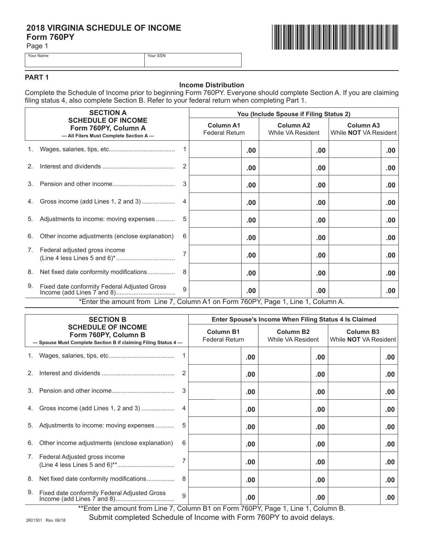# 2018 VIRGINIA SCHEDULE OF INCOME<br>Form 760PY<br>Page 1 **Form 760PY**

Page 1



Your Name Your SSN

### **PART 1**

#### **Income Distribution**

Complete the Schedule of Income prior to beginning Form 760PY. Everyone should complete Section A. If you are claiming Franch Completed the Concentration of the Concentration of the Cognition of the Concentration of the set filing status 4, also complete Section B. Refer to your federal return when completing Part 1.

|    | <b>SECTION A</b><br><b>SCHEDULE OF INCOME</b><br>Form 760PY, Column A<br>- All Filers Must Complete Section A- |              | You (Include Spouse if Filing Status 2)   |          |                                       |                                                  |  |
|----|----------------------------------------------------------------------------------------------------------------|--------------|-------------------------------------------|----------|---------------------------------------|--------------------------------------------------|--|
|    |                                                                                                                |              | <b>Column A1</b><br><b>Federal Return</b> |          | <b>Column A2</b><br>While VA Resident | <b>Column A3</b><br>While <b>NOT</b> VA Resident |  |
|    |                                                                                                                |              |                                           | .00      | $.00 \,$                              | .00                                              |  |
| 2. |                                                                                                                | 2            |                                           | .00      | .00                                   | .00.                                             |  |
| 3. |                                                                                                                | 3            |                                           | .00      | $.00 \,$                              | .00.                                             |  |
| 4. | Gross income (add Lines 1, 2 and 3)                                                                            | 4            |                                           | .00      | .00                                   | .00.                                             |  |
| 5. | Adjustments to income: moving expenses                                                                         |              |                                           | .00      | .00                                   | .00.                                             |  |
| 6. | Other income adjustments (enclose explanation)                                                                 | 6            |                                           | .00      | $.00 \,$                              | .00.                                             |  |
| 7. | Federal adjusted gross income                                                                                  |              |                                           | $.00 \,$ | $.00 \,$                              | .00.                                             |  |
| 8. | Net fixed date conformity modifications                                                                        | 8            |                                           | .00      | .00                                   | .00                                              |  |
| 9. | Fixed date conformity Federal Adjusted Gross                                                                   | $\mathbf{Q}$ |                                           | $.00 \,$ | $.00 \,$                              | .00                                              |  |
|    | *Enter the amount from Line 7, Column A1 on Form 760PY, Page 1, Line 1, Column A.                              |              |                                           |          |                                       |                                                  |  |

| <b>SECTION B</b><br><b>SCHEDULE OF INCOME</b><br>Form 760PY, Column B<br>- Spouse Must Complete Section B if claiming Filing Status 4- |                                                | Enter Spouse's Income When Filing Status 4 Is Claimed |                                       |                                                  |      |  |
|----------------------------------------------------------------------------------------------------------------------------------------|------------------------------------------------|-------------------------------------------------------|---------------------------------------|--------------------------------------------------|------|--|
|                                                                                                                                        |                                                | <b>Column B1</b><br><b>Federal Return</b>             | <b>Column B2</b><br>While VA Resident | <b>Column B3</b><br>While <b>NOT</b> VA Resident |      |  |
|                                                                                                                                        |                                                |                                                       | .00                                   | .00                                              | .00  |  |
| 2.                                                                                                                                     |                                                | $\mathcal{P}$                                         | .00.                                  | .00                                              | .00  |  |
|                                                                                                                                        |                                                |                                                       | .00.                                  | .00                                              | .00. |  |
| 4.                                                                                                                                     | Gross income (add Lines 1, 2 and 3)            |                                                       | .00.                                  | .00                                              | .00  |  |
| 5.                                                                                                                                     | Adjustments to income: moving expenses         |                                                       | .00.                                  | .00                                              | .00  |  |
| 6.                                                                                                                                     | Other income adjustments (enclose explanation) | 6                                                     | .00.                                  | .00                                              | .00  |  |
| 7.                                                                                                                                     | Federal Adjusted gross income                  |                                                       | .00.                                  | .00                                              | .00  |  |
| 8.                                                                                                                                     | Net fixed date conformity modifications        | 8                                                     | .00.                                  | .00                                              | .00  |  |
| 9.                                                                                                                                     | Fixed date conformity Federal Adjusted Gross   | 9                                                     | .00                                   | .00                                              | .00  |  |

\*\*Enter the amount from Line 7, Column B1 on Form 760PY, Page 1, Line 1, Column B.

Submit completed Schedule of Income with Form 760PY to avoid delays.